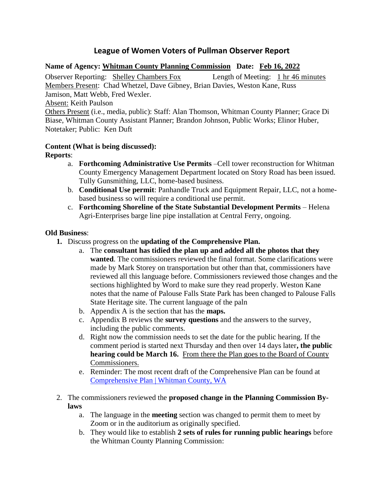# **League of Women Voters of Pullman Observer Report**

## **Name of Agency: Whitman County Planning Commission Date: Feb 16, 2022**

Observer Reporting: Shelley Chambers Fox Length of Meeting: 1 hr 46 minutes Members Present: Chad Whetzel, Dave Gibney, Brian Davies, Weston Kane, Russ Jamison, Matt Webb, Fred Wexler.

Absent: Keith Paulson

Others Present (i.e., media, public): Staff: Alan Thomson, Whitman County Planner; Grace Di Biase, Whitman County Assistant Planner; Brandon Johnson, Public Works; Elinor Huber, Notetaker; Public: Ken Duft

### **Content (What is being discussed):**

**Reports**:

- a. **Forthcoming Administrative Use Permits** –Cell tower reconstruction for Whitman County Emergency Management Department located on Story Road has been issued. Tully Gunsmithing, LLC, home-based business.
- b. **Conditional Use permit**: Panhandle Truck and Equipment Repair, LLC, not a homebased business so will require a conditional use permit.
- c. **Forthcoming Shoreline of the State Substantial Development Permits** Helena Agri-Enterprises barge line pipe installation at Central Ferry, ongoing.

#### **Old Business**:

- **1.** Discuss progress on the **updating of the Comprehensive Plan.** 
	- a. The **consultant has tidied the plan up and added all the photos that they wanted**. The commissioners reviewed the final format. Some clarifications were made by Mark Storey on transportation but other than that, commissioners have reviewed all this language before. Commissioners reviewed those changes and the sections highlighted by Word to make sure they read properly. Weston Kane notes that the name of Palouse Falls State Park has been changed to Palouse Falls State Heritage site. The current language of the paln
	- b. Appendix A is the section that has the **maps.**
	- c. Appendix B reviews the **survey questions** and the answers to the survey, including the public comments.
	- d. Right now the commission needs to set the date for the public hearing. If the comment period is started next Thursday and then over 14 days later**, the public hearing could be March 16.** From there the Plan goes to the Board of County Commissioners.
	- e. Reminder: The most recent draft of the Comprehensive Plan can be found at [Comprehensive Plan | Whitman County, WA](https://whitmancounty.org/513/Comprehensive-Plan)
- 2. The commissioners reviewed the **proposed change in the Planning Commission Bylaws**
	- a. The language in the **meeting** section was changed to permit them to meet by Zoom or in the auditorium as originally specified.
	- b. They would like to establish **2 sets of rules for running public hearings** before the Whitman County Planning Commission: